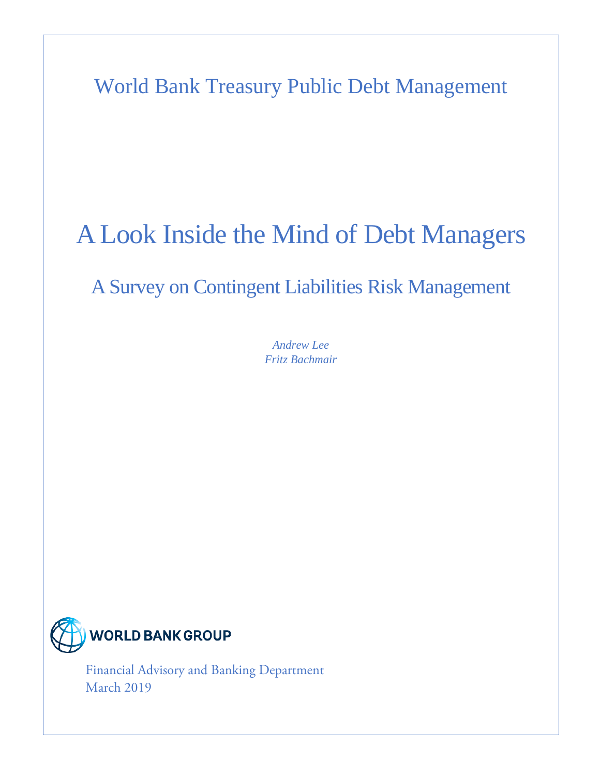World Bank Treasury Public Debt Management

# A Look Inside the Mind of Debt Managers

# A Survey on Contingent Liabilities Risk Management

*Andrew Lee Fritz Bachmair*



 $\overline{A}$ Financial Advisory and Banking Department March 2019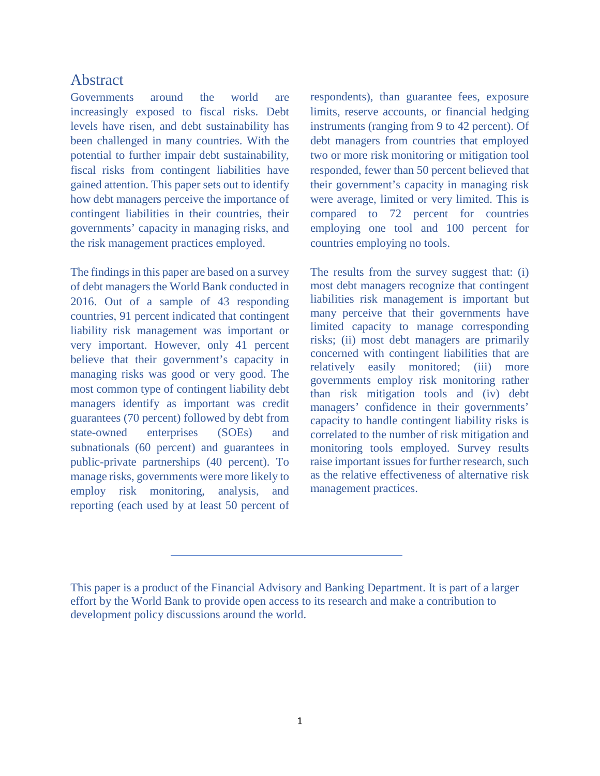### <span id="page-1-0"></span>Abstract

Governments around the world are increasingly exposed to fiscal risks. Debt levels have risen, and debt sustainability has been challenged in many countries. With the potential to further impair debt sustainability, fiscal risks from contingent liabilities have gained attention. This paper sets out to identify how debt managers perceive the importance of contingent liabilities in their countries, their governments' capacity in managing risks, and the risk management practices employed.

The findings in this paper are based on a survey of debt managers the World Bank conducted in 2016. Out of a sample of 43 responding countries, 91 percent indicated that contingent liability risk management was important or very important. However, only 41 percent believe that their government's capacity in managing risks was good or very good. The most common type of contingent liability debt managers identify as important was credit guarantees (70 percent) followed by debt from state-owned enterprises (SOEs) and subnationals (60 percent) and guarantees in public-private partnerships (40 percent). To manage risks, governments were more likely to employ risk monitoring, analysis, and reporting (each used by at least 50 percent of respondents), than guarantee fees, exposure limits, reserve accounts, or financial hedging instruments (ranging from 9 to 42 percent). Of debt managers from countries that employed two or more risk monitoring or mitigation tool responded, fewer than 50 percent believed that their government's capacity in managing risk were average, limited or very limited. This is compared to 72 percent for countries employing one tool and 100 percent for countries employing no tools.

The results from the survey suggest that: (i) most debt managers recognize that contingent liabilities risk management is important but many perceive that their governments have limited capacity to manage corresponding risks; (ii) most debt managers are primarily concerned with contingent liabilities that are relatively easily monitored; (iii) more governments employ risk monitoring rather than risk mitigation tools and (iv) debt managers' confidence in their governments' capacity to handle contingent liability risks is correlated to the number of risk mitigation and monitoring tools employed. Survey results raise important issues for further research, such as the relative effectiveness of alternative risk management practices.

This paper is a product of the Financial Advisory and Banking Department. It is part of a larger effort by the World Bank to provide open access to its research and make a contribution to development policy discussions around the world.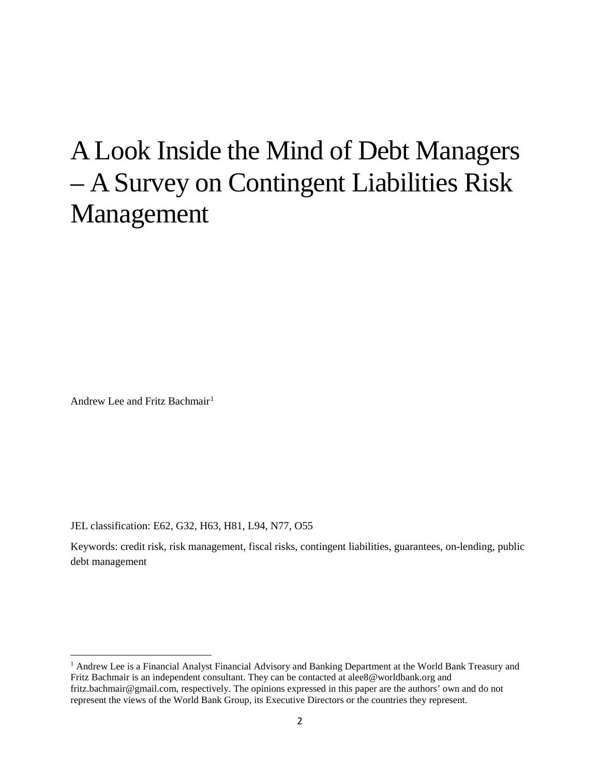# A Look Inside the Mind of Debt Managers – A Survey on Contingent Liabilities Risk Management

Andrew Lee and Fritz Bachmair<sup>[1](#page-2-0)</sup>

l

JEL classification: E62, G32, H63, H81, L94, N77, O55

Keywords: credit risk, risk management, fiscal risks, contingent liabilities, guarantees, on-lending, public debt management

<span id="page-2-0"></span><sup>&</sup>lt;sup>1</sup> Andrew Lee is a Financial Analyst Financial Advisory and Banking Department at the World Bank Treasury and Fritz Bachmair is an independent consultant. They can be contacted at [alee8@worldbank.org](mailto:alee8@worldbank.org) and fritz.bachmair@gmail.com, respectively. The opinions expressed in this paper are the authors' own and do not represent the views of the World Bank Group, its Executive Directors or the countries they represent.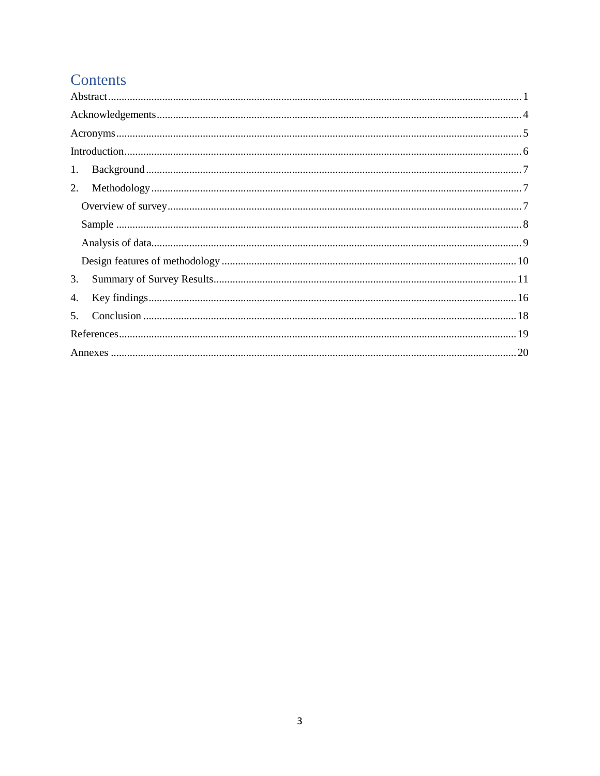# Contents

| 1. |
|----|
| 2. |
|    |
|    |
|    |
|    |
| 3. |
| 4. |
| 5. |
|    |
|    |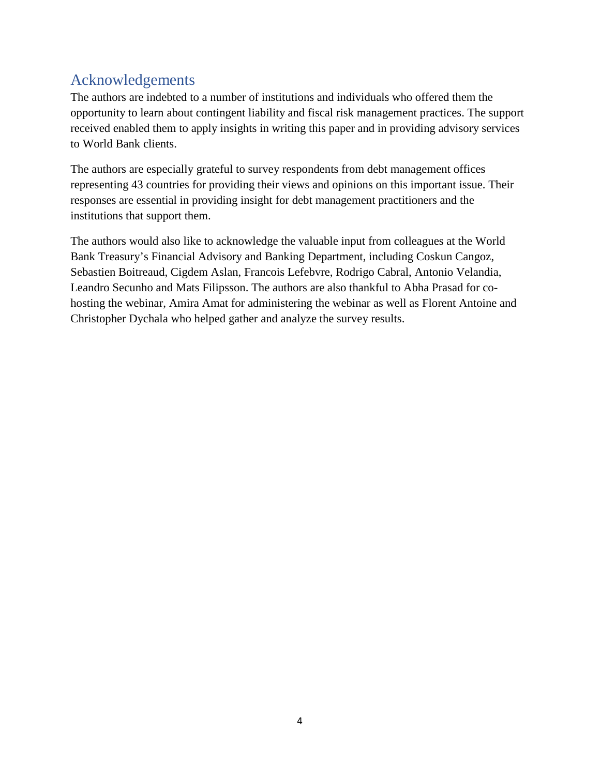# <span id="page-4-0"></span>Acknowledgements

The authors are indebted to a number of institutions and individuals who offered them the opportunity to learn about contingent liability and fiscal risk management practices. The support received enabled them to apply insights in writing this paper and in providing advisory services to World Bank clients.

The authors are especially grateful to survey respondents from debt management offices representing 43 countries for providing their views and opinions on this important issue. Their responses are essential in providing insight for debt management practitioners and the institutions that support them.

The authors would also like to acknowledge the valuable input from colleagues at the World Bank Treasury's Financial Advisory and Banking Department, including Coskun Cangoz, Sebastien Boitreaud, Cigdem Aslan, Francois Lefebvre, Rodrigo Cabral, Antonio Velandia, Leandro Secunho and Mats Filipsson. The authors are also thankful to Abha Prasad for cohosting the webinar, Amira Amat for administering the webinar as well as Florent Antoine and Christopher Dychala who helped gather and analyze the survey results.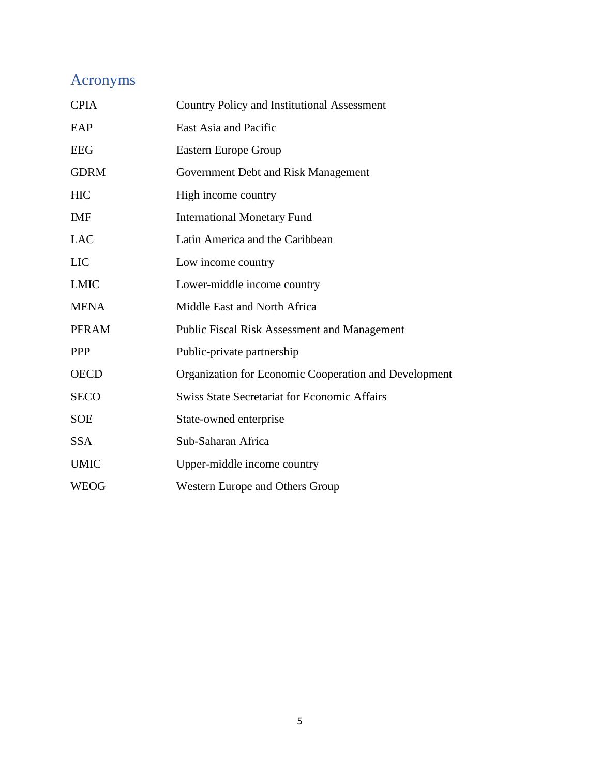# <span id="page-5-0"></span>Acronyms

| <b>Country Policy and Institutional Assessment</b>    |
|-------------------------------------------------------|
| East Asia and Pacific                                 |
| <b>Eastern Europe Group</b>                           |
| Government Debt and Risk Management                   |
| High income country                                   |
| <b>International Monetary Fund</b>                    |
| Latin America and the Caribbean                       |
| Low income country                                    |
| Lower-middle income country                           |
| Middle East and North Africa                          |
| Public Fiscal Risk Assessment and Management          |
| Public-private partnership                            |
| Organization for Economic Cooperation and Development |
| <b>Swiss State Secretariat for Economic Affairs</b>   |
| State-owned enterprise                                |
| Sub-Saharan Africa                                    |
| Upper-middle income country                           |
| <b>Western Europe and Others Group</b>                |
|                                                       |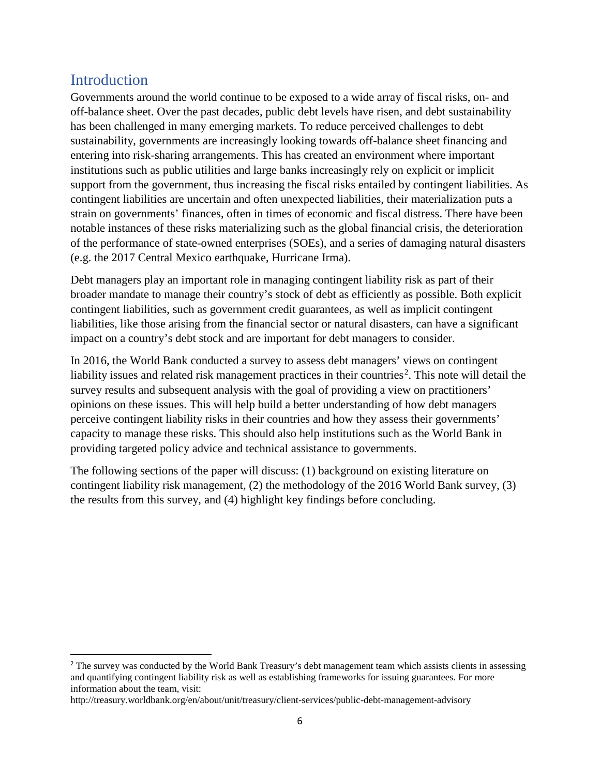### <span id="page-6-0"></span>**Introduction**

Governments around the world continue to be exposed to a wide array of fiscal risks, on- and off-balance sheet. Over the past decades, public debt levels have risen, and debt sustainability has been challenged in many emerging markets. To reduce perceived challenges to debt sustainability, governments are increasingly looking towards off-balance sheet financing and entering into risk-sharing arrangements. This has created an environment where important institutions such as public utilities and large banks increasingly rely on explicit or implicit support from the government, thus increasing the fiscal risks entailed by contingent liabilities. As contingent liabilities are uncertain and often unexpected liabilities, their materialization puts a strain on governments' finances, often in times of economic and fiscal distress. There have been notable instances of these risks materializing such as the global financial crisis, the deterioration of the performance of state-owned enterprises (SOEs), and a series of damaging natural disasters (e.g. the 2017 Central Mexico earthquake, Hurricane Irma).

Debt managers play an important role in managing contingent liability risk as part of their broader mandate to manage their country's stock of debt as efficiently as possible. Both explicit contingent liabilities, such as government credit guarantees, as well as implicit contingent liabilities, like those arising from the financial sector or natural disasters, can have a significant impact on a country's debt stock and are important for debt managers to consider.

In 2016, the World Bank conducted a survey to assess debt managers' views on contingent liability issues and related risk management practices in their countries<sup>[2](#page-6-1)</sup>. This note will detail the survey results and subsequent analysis with the goal of providing a view on practitioners' opinions on these issues. This will help build a better understanding of how debt managers perceive contingent liability risks in their countries and how they assess their governments' capacity to manage these risks. This should also help institutions such as the World Bank in providing targeted policy advice and technical assistance to governments.

The following sections of the paper will discuss: (1) background on existing literature on contingent liability risk management, (2) the methodology of the 2016 World Bank survey, (3) the results from this survey, and (4) highlight key findings before concluding.

<span id="page-6-1"></span><sup>&</sup>lt;sup>2</sup> The survey was conducted by the World Bank Treasury's debt management team which assists clients in assessing and quantifying contingent liability risk as well as establishing frameworks for issuing guarantees. For more information about the team, visit:

http://treasury.worldbank.org/en/about/unit/treasury/client-services/public-debt-management-advisory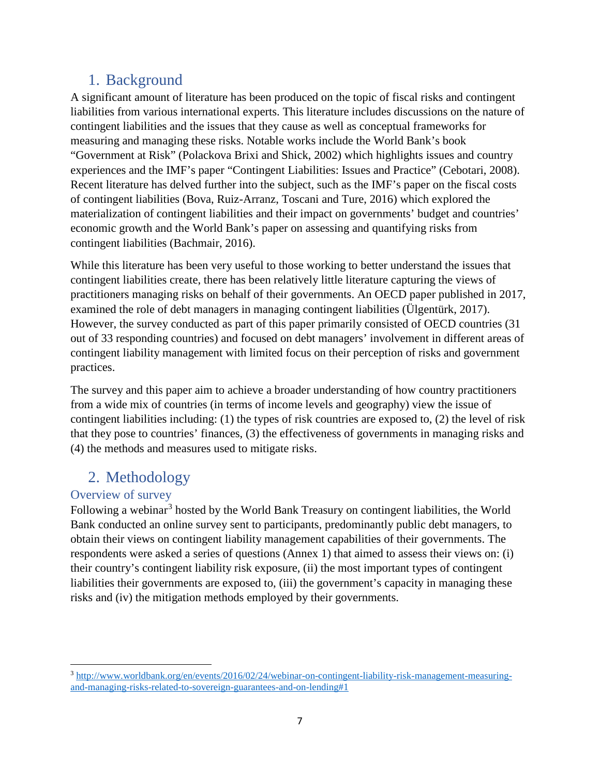# <span id="page-7-0"></span>1. Background

A significant amount of literature has been produced on the topic of fiscal risks and contingent liabilities from various international experts. This literature includes discussions on the nature of contingent liabilities and the issues that they cause as well as conceptual frameworks for measuring and managing these risks. Notable works include the World Bank's book "Government at Risk" (Polackova Brixi and Shick, 2002) which highlights issues and country experiences and the IMF's paper "Contingent Liabilities: Issues and Practice" (Cebotari, 2008). Recent literature has delved further into the subject, such as the IMF's paper on the fiscal costs of contingent liabilities (Bova, Ruiz-Arranz, Toscani and Ture, 2016) which explored the materialization of contingent liabilities and their impact on governments' budget and countries' economic growth and the World Bank's paper on assessing and quantifying risks from contingent liabilities (Bachmair, 2016).

While this literature has been very useful to those working to better understand the issues that contingent liabilities create, there has been relatively little literature capturing the views of practitioners managing risks on behalf of their governments. An OECD paper published in 2017, examined the role of debt managers in managing contingent liabilities (Ülgentürk, 2017). However, the survey conducted as part of this paper primarily consisted of OECD countries (31 out of 33 responding countries) and focused on debt managers' involvement in different areas of contingent liability management with limited focus on their perception of risks and government practices.

The survey and this paper aim to achieve a broader understanding of how country practitioners from a wide mix of countries (in terms of income levels and geography) view the issue of contingent liabilities including: (1) the types of risk countries are exposed to, (2) the level of risk that they pose to countries' finances, (3) the effectiveness of governments in managing risks and (4) the methods and measures used to mitigate risks.

# <span id="page-7-1"></span>2. Methodology

#### <span id="page-7-2"></span>Overview of survey

 $\overline{\phantom{a}}$ 

Following a webinar<sup>[3](#page-7-3)</sup> hosted by the World Bank Treasury on contingent liabilities, the World Bank conducted an online survey sent to participants, predominantly public debt managers, to obtain their views on contingent liability management capabilities of their governments. The respondents were asked a series of questions (Annex 1) that aimed to assess their views on: (i) their country's contingent liability risk exposure, (ii) the most important types of contingent liabilities their governments are exposed to, (iii) the government's capacity in managing these risks and (iv) the mitigation methods employed by their governments.

<span id="page-7-3"></span><sup>3</sup> [http://www.worldbank.org/en/events/2016/02/24/webinar-on-contingent-liability-risk-management-measuring](http://www.worldbank.org/en/events/2016/02/24/webinar-on-contingent-liability-risk-management-measuring-and-managing-risks-related-to-sovereign-guarantees-and-on-lending#1)[and-managing-risks-related-to-sovereign-guarantees-and-on-lending#1](http://www.worldbank.org/en/events/2016/02/24/webinar-on-contingent-liability-risk-management-measuring-and-managing-risks-related-to-sovereign-guarantees-and-on-lending#1)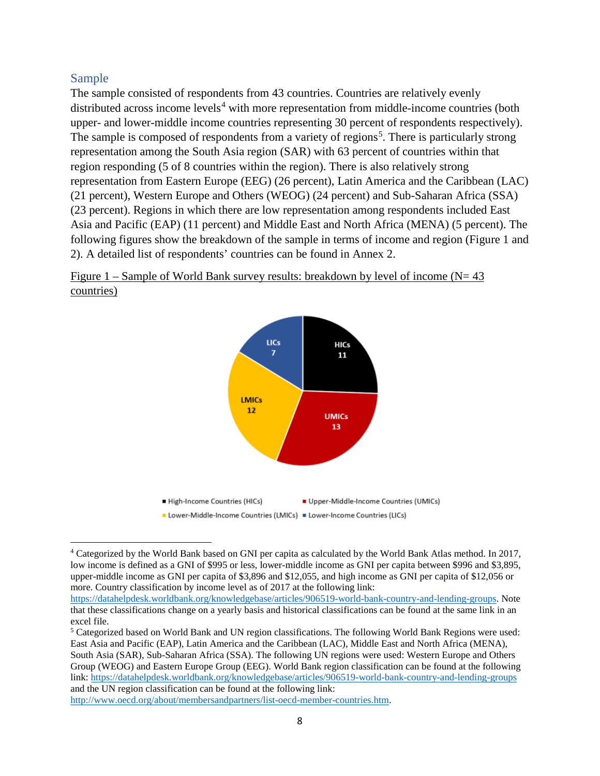#### <span id="page-8-0"></span>Sample

l

The sample consisted of respondents from 43 countries. Countries are relatively evenly distributed across income levels<sup>[4](#page-8-1)</sup> with more representation from middle-income countries (both upper- and lower-middle income countries representing 30 percent of respondents respectively). The sample is composed of respondents from a variety of regions<sup>[5](#page-8-2)</sup>. There is particularly strong representation among the South Asia region (SAR) with 63 percent of countries within that region responding (5 of 8 countries within the region). There is also relatively strong representation from Eastern Europe (EEG) (26 percent), Latin America and the Caribbean (LAC) (21 percent), Western Europe and Others (WEOG) (24 percent) and Sub-Saharan Africa (SSA) (23 percent). Regions in which there are low representation among respondents included East Asia and Pacific (EAP) (11 percent) and Middle East and North Africa (MENA) (5 percent). The following figures show the breakdown of the sample in terms of income and region (Figure 1 and 2). A detailed list of respondents' countries can be found in Annex 2.





<span id="page-8-1"></span><sup>4</sup> Categorized by the World Bank based on GNI per capita as calculated by the World Bank Atlas method. In 2017, low income is defined as a GNI of \$995 or less, lower-middle income as GNI per capita between \$996 and \$3,895, upper-middle income as GNI per capita of \$3,896 and \$12,055, and high income as GNI per capita of \$12,056 or more. Country classification by income level as of 2017 at the following link:

[https://datahelpdesk.worldbank.org/knowledgebase/articles/906519-world-bank-country-and-lending-groups.](https://datahelpdesk.worldbank.org/knowledgebase/articles/906519-world-bank-country-and-lending-groups) Note that these classifications change on a yearly basis and historical classifications can be found at the same link in an excel file.

<span id="page-8-2"></span><sup>5</sup> Categorized based on World Bank and UN region classifications. The following World Bank Regions were used: East Asia and Pacific (EAP), Latin America and the Caribbean (LAC), Middle East and North Africa (MENA), South Asia (SAR), Sub-Saharan Africa (SSA). The following UN regions were used: Western Europe and Others Group (WEOG) and Eastern Europe Group (EEG). World Bank region classification can be found at the following link:<https://datahelpdesk.worldbank.org/knowledgebase/articles/906519-world-bank-country-and-lending-groups> and the UN region classification can be found at the following link: [http://www.oecd.org/about/membersandpartners/list-oecd-member-countries.htm.](http://www.oecd.org/about/membersandpartners/list-oecd-member-countries.htm)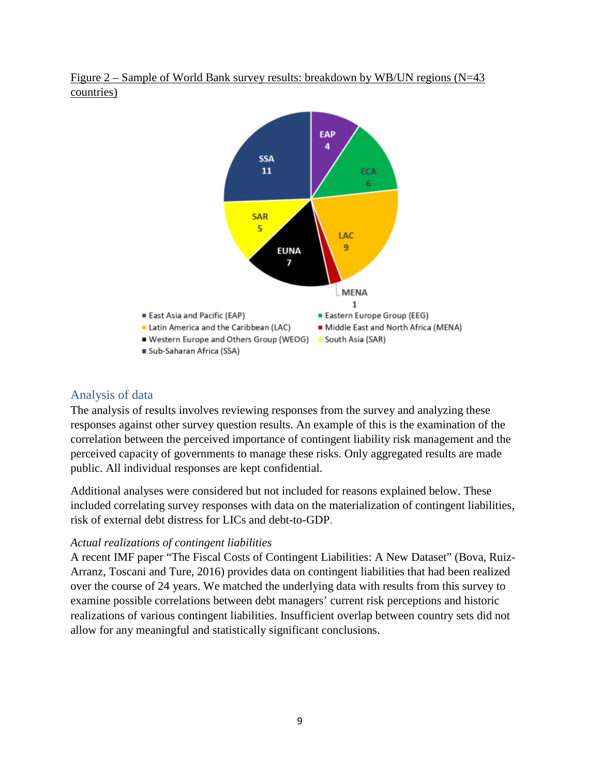

Figure 2 – Sample of World Bank survey results: breakdown by WB/UN regions (N=43 countries)

#### <span id="page-9-0"></span>Analysis of data

The analysis of results involves reviewing responses from the survey and analyzing these responses against other survey question results. An example of this is the examination of the correlation between the perceived importance of contingent liability risk management and the perceived capacity of governments to manage these risks. Only aggregated results are made public. All individual responses are kept confidential.

Additional analyses were considered but not included for reasons explained below. These included correlating survey responses with data on the materialization of contingent liabilities, risk of external debt distress for LICs and debt-to-GDP.

#### *Actual realizations of contingent liabilities*

A recent IMF paper "The Fiscal Costs of Contingent Liabilities: A New Dataset" (Bova, Ruiz-Arranz, Toscani and Ture, 2016) provides data on contingent liabilities that had been realized over the course of 24 years. We matched the underlying data with results from this survey to examine possible correlations between debt managers' current risk perceptions and historic realizations of various contingent liabilities. Insufficient overlap between country sets did not allow for any meaningful and statistically significant conclusions.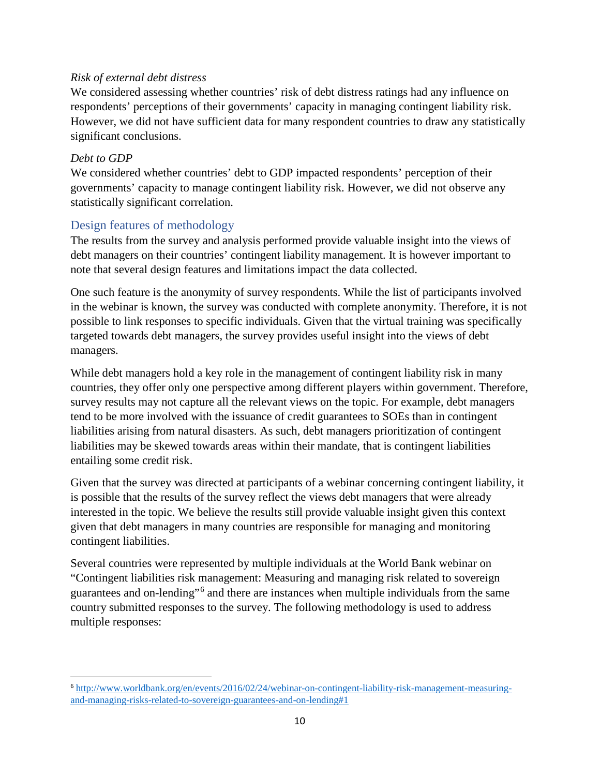#### *Risk of external debt distress*

We considered assessing whether countries' risk of debt distress ratings had any influence on respondents' perceptions of their governments' capacity in managing contingent liability risk. However, we did not have sufficient data for many respondent countries to draw any statistically significant conclusions.

#### *Debt to GDP*

We considered whether countries' debt to GDP impacted respondents' perception of their governments' capacity to manage contingent liability risk. However, we did not observe any statistically significant correlation.

#### <span id="page-10-0"></span>Design features of methodology

The results from the survey and analysis performed provide valuable insight into the views of debt managers on their countries' contingent liability management. It is however important to note that several design features and limitations impact the data collected.

One such feature is the anonymity of survey respondents. While the list of participants involved in the webinar is known, the survey was conducted with complete anonymity. Therefore, it is not possible to link responses to specific individuals. Given that the virtual training was specifically targeted towards debt managers, the survey provides useful insight into the views of debt managers.

While debt managers hold a key role in the management of contingent liability risk in many countries, they offer only one perspective among different players within government. Therefore, survey results may not capture all the relevant views on the topic. For example, debt managers tend to be more involved with the issuance of credit guarantees to SOEs than in contingent liabilities arising from natural disasters. As such, debt managers prioritization of contingent liabilities may be skewed towards areas within their mandate, that is contingent liabilities entailing some credit risk.

Given that the survey was directed at participants of a webinar concerning contingent liability, it is possible that the results of the survey reflect the views debt managers that were already interested in the topic. We believe the results still provide valuable insight given this context given that debt managers in many countries are responsible for managing and monitoring contingent liabilities.

Several countries were represented by multiple individuals at the World Bank webinar on "Contingent liabilities risk management: Measuring and managing risk related to sovereign guarantees and on-lending"[6](#page-10-1) and there are instances when multiple individuals from the same country submitted responses to the survey. The following methodology is used to address multiple responses:

<span id="page-10-1"></span> <sup>6</sup> [http://www.worldbank.org/en/events/2016/02/24/webinar-on-contingent-liability-risk-management-measuring](http://www.worldbank.org/en/events/2016/02/24/webinar-on-contingent-liability-risk-management-measuring-and-managing-risks-related-to-sovereign-guarantees-and-on-lending#1)[and-managing-risks-related-to-sovereign-guarantees-and-on-lending#1](http://www.worldbank.org/en/events/2016/02/24/webinar-on-contingent-liability-risk-management-measuring-and-managing-risks-related-to-sovereign-guarantees-and-on-lending#1)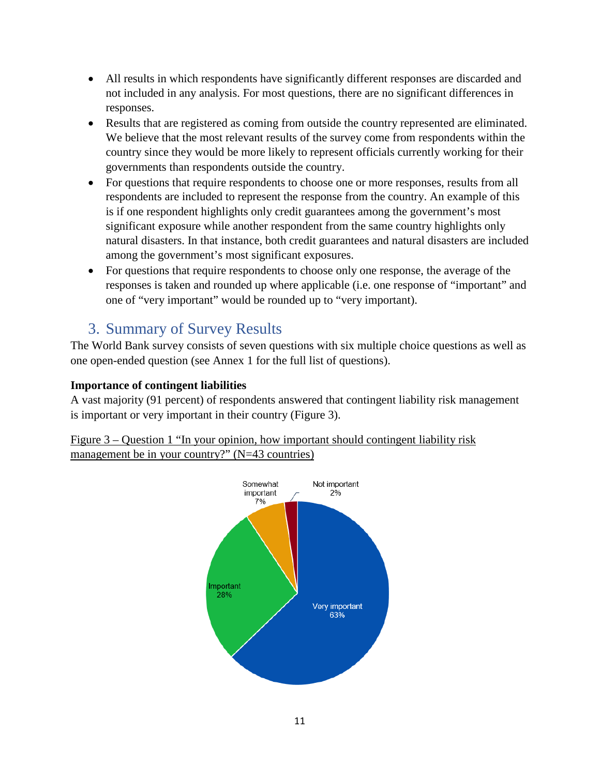- All results in which respondents have significantly different responses are discarded and not included in any analysis. For most questions, there are no significant differences in responses.
- Results that are registered as coming from outside the country represented are eliminated. We believe that the most relevant results of the survey come from respondents within the country since they would be more likely to represent officials currently working for their governments than respondents outside the country.
- For questions that require respondents to choose one or more responses, results from all respondents are included to represent the response from the country. An example of this is if one respondent highlights only credit guarantees among the government's most significant exposure while another respondent from the same country highlights only natural disasters. In that instance, both credit guarantees and natural disasters are included among the government's most significant exposures.
- For questions that require respondents to choose only one response, the average of the responses is taken and rounded up where applicable (i.e. one response of "important" and one of "very important" would be rounded up to "very important).

# <span id="page-11-0"></span>3. Summary of Survey Results

The World Bank survey consists of seven questions with six multiple choice questions as well as one open-ended question (see Annex 1 for the full list of questions).

#### **Importance of contingent liabilities**

A vast majority (91 percent) of respondents answered that contingent liability risk management is important or very important in their country (Figure 3).

Figure 3 – Question 1 "In your opinion, how important should contingent liability risk management be in your country?" (N=43 countries)

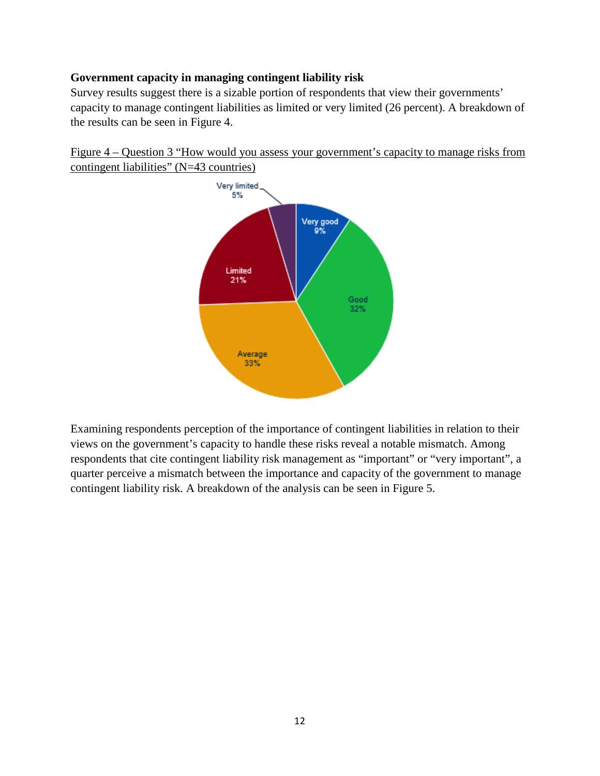#### **Government capacity in managing contingent liability risk**

Survey results suggest there is a sizable portion of respondents that view their governments' capacity to manage contingent liabilities as limited or very limited (26 percent). A breakdown of the results can be seen in Figure 4.

Figure 4 – Question 3 "How would you assess your government's capacity to manage risks from contingent liabilities" (N=43 countries)



Examining respondents perception of the importance of contingent liabilities in relation to their views on the government's capacity to handle these risks reveal a notable mismatch. Among respondents that cite contingent liability risk management as "important" or "very important", a quarter perceive a mismatch between the importance and capacity of the government to manage contingent liability risk. A breakdown of the analysis can be seen in Figure 5.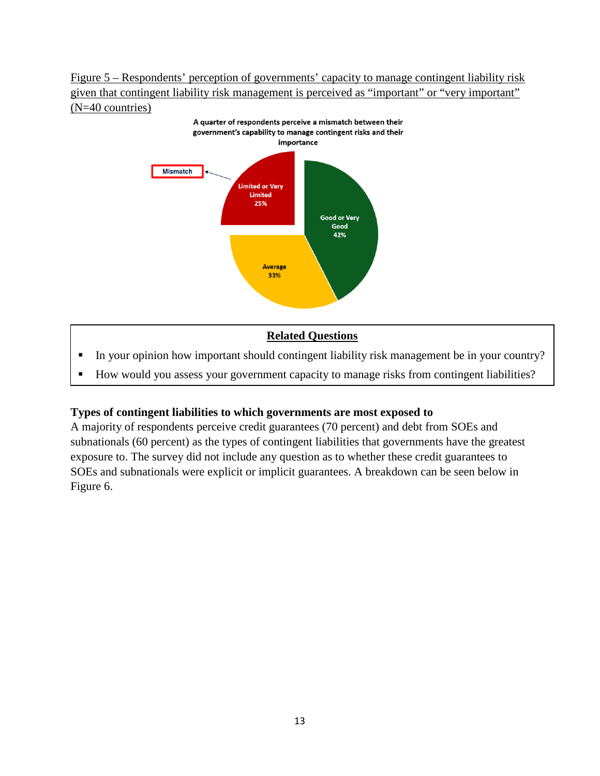#### Figure 5 – Respondents' perception of governments' capacity to manage contingent liability risk given that contingent liability risk management is perceived as "important" or "very important" (N=40 countries)



#### **Related Questions**

- In your opinion how important should contingent liability risk management be in your country?
- How would you assess your government capacity to manage risks from contingent liabilities?

#### **Types of contingent liabilities to which governments are most exposed to**

A majority of respondents perceive credit guarantees (70 percent) and debt from SOEs and subnationals (60 percent) as the types of contingent liabilities that governments have the greatest exposure to. The survey did not include any question as to whether these credit guarantees to SOEs and subnationals were explicit or implicit guarantees. A breakdown can be seen below in Figure 6.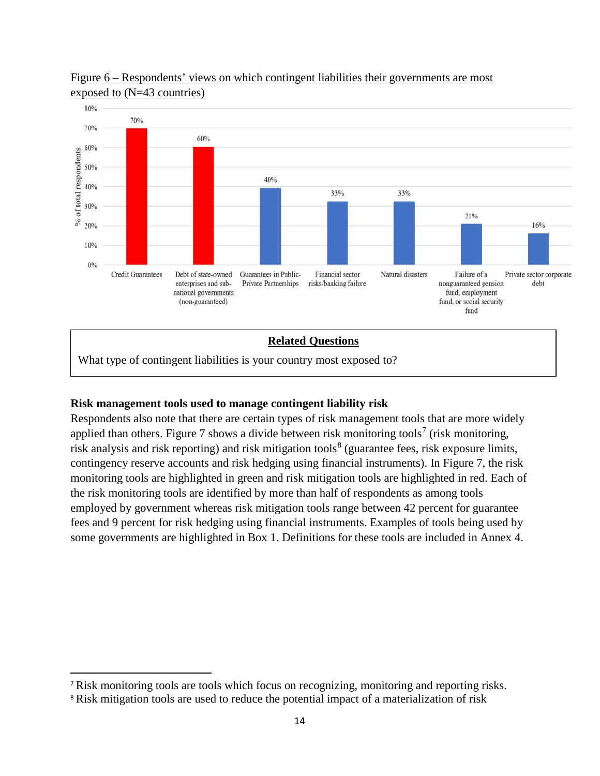



#### What type of contingent liabilities is your country most exposed to?

#### **Risk management tools used to manage contingent liability risk**

Respondents also note that there are certain types of risk management tools that are more widely applied than others. Figure [7](#page-14-0) shows a divide between risk monitoring tools<sup>7</sup> (risk monitoring, risk analysis and risk reporting) and risk mitigation tools<sup>[8](#page-14-1)</sup> (guarantee fees, risk exposure limits, contingency reserve accounts and risk hedging using financial instruments). In Figure 7, the risk monitoring tools are highlighted in green and risk mitigation tools are highlighted in red. Each of the risk monitoring tools are identified by more than half of respondents as among tools employed by government whereas risk mitigation tools range between 42 percent for guarantee fees and 9 percent for risk hedging using financial instruments. Examples of tools being used by some governments are highlighted in Box 1. Definitions for these tools are included in Annex 4.

<span id="page-14-0"></span> <sup>7</sup> Risk monitoring tools are tools which focus on recognizing, monitoring and reporting risks.

<span id="page-14-1"></span><sup>&</sup>lt;sup>8</sup> Risk mitigation tools are used to reduce the potential impact of a materialization of risk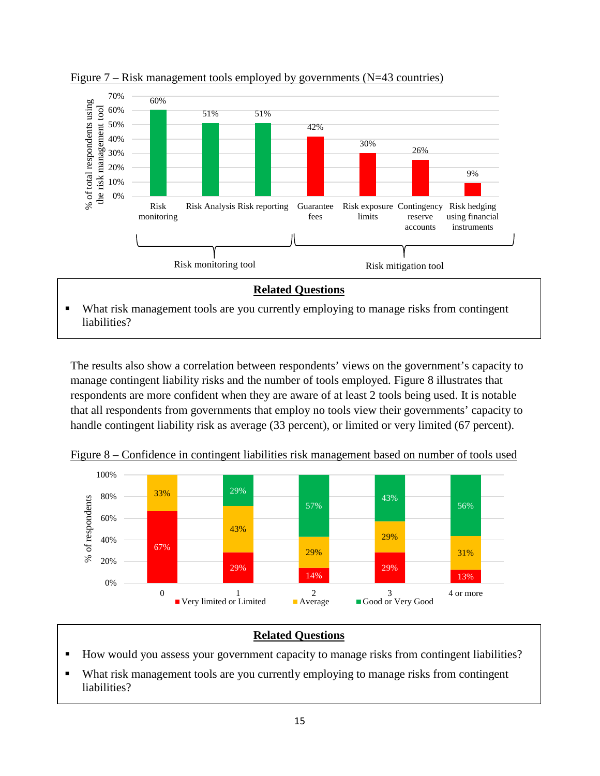

Figure  $7 - Risk management tools employed by governments (N=43 countries)$ 

• What risk management tools are you currently employing to manage risks from contingent liabilities?

The results also show a correlation between respondents' views on the government's capacity to manage contingent liability risks and the number of tools employed. Figure 8 illustrates that respondents are more confident when they are aware of at least 2 tools being used. It is notable that all respondents from governments that employ no tools view their governments' capacity to handle contingent liability risk as average (33 percent), or limited or very limited (67 percent).

100% 29% 33% 80% 43% of respondents % of respondents 56% 57% 60% 43% 29% 40% 67% 29% 31%  $\%$ 20% 29% 29% 14% 13% 0% 0 1 2 3 4 or more Very limited or Limited **Average** Good or Very Good

Figure 8 – Confidence in contingent liabilities risk management based on number of tools used

#### **Related Questions**

- How would you assess your government capacity to manage risks from contingent liabilities?
- What risk management tools are you currently employing to manage risks from contingent liabilities?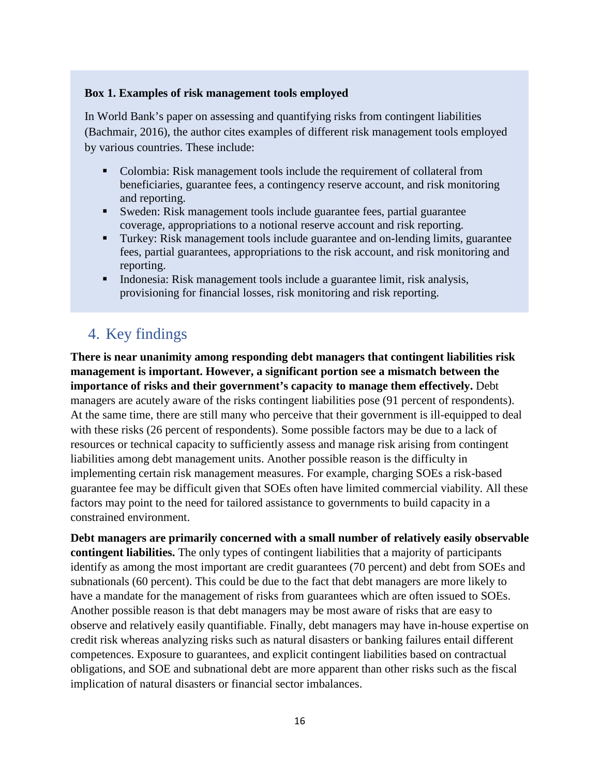#### **Box 1. Examples of risk management tools employed**

In World Bank's paper on assessing and quantifying risks from contingent liabilities (Bachmair, 2016), the author cites examples of different risk management tools employed by various countries. These include:

- Colombia: Risk management tools include the requirement of collateral from beneficiaries, guarantee fees, a contingency reserve account, and risk monitoring and reporting.
- Sweden: Risk management tools include guarantee fees, partial guarantee coverage, appropriations to a notional reserve account and risk reporting.
- Turkey: Risk management tools include guarantee and on-lending limits, guarantee fees, partial guarantees, appropriations to the risk account, and risk monitoring and reporting.
- Indonesia: Risk management tools include a guarantee limit, risk analysis, provisioning for financial losses, risk monitoring and risk reporting.

# <span id="page-16-0"></span>4. Key findings

**There is near unanimity among responding debt managers that contingent liabilities risk management is important. However, a significant portion see a mismatch between the importance of risks and their government's capacity to manage them effectively.** Debt managers are acutely aware of the risks contingent liabilities pose (91 percent of respondents). At the same time, there are still many who perceive that their government is ill-equipped to deal with these risks (26 percent of respondents). Some possible factors may be due to a lack of resources or technical capacity to sufficiently assess and manage risk arising from contingent liabilities among debt management units. Another possible reason is the difficulty in implementing certain risk management measures. For example, charging SOEs a risk-based guarantee fee may be difficult given that SOEs often have limited commercial viability. All these factors may point to the need for tailored assistance to governments to build capacity in a constrained environment.

**Debt managers are primarily concerned with a small number of relatively easily observable contingent liabilities.** The only types of contingent liabilities that a majority of participants identify as among the most important are credit guarantees (70 percent) and debt from SOEs and subnationals (60 percent). This could be due to the fact that debt managers are more likely to have a mandate for the management of risks from guarantees which are often issued to SOEs. Another possible reason is that debt managers may be most aware of risks that are easy to observe and relatively easily quantifiable. Finally, debt managers may have in-house expertise on credit risk whereas analyzing risks such as natural disasters or banking failures entail different competences. Exposure to guarantees, and explicit contingent liabilities based on contractual obligations, and SOE and subnational debt are more apparent than other risks such as the fiscal implication of natural disasters or financial sector imbalances.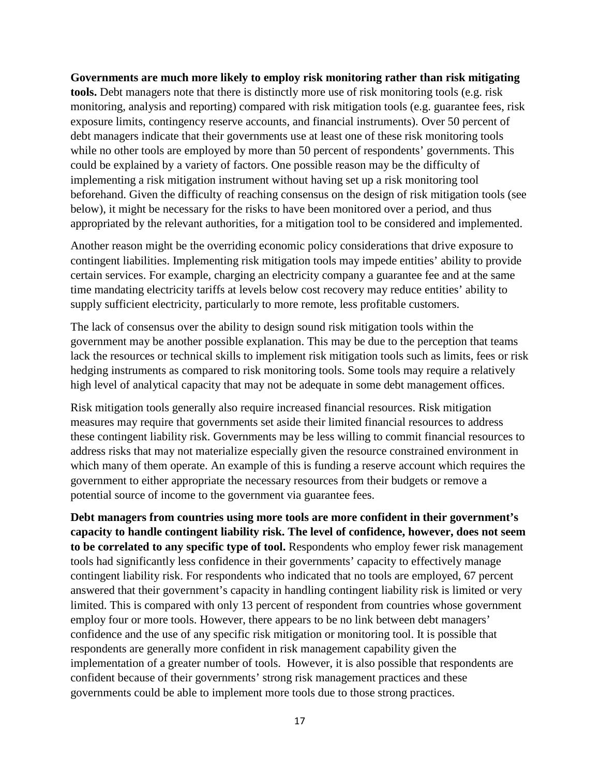#### **Governments are much more likely to employ risk monitoring rather than risk mitigating**

**tools.** Debt managers note that there is distinctly more use of risk monitoring tools (e.g. risk monitoring, analysis and reporting) compared with risk mitigation tools (e.g. guarantee fees, risk exposure limits, contingency reserve accounts, and financial instruments). Over 50 percent of debt managers indicate that their governments use at least one of these risk monitoring tools while no other tools are employed by more than 50 percent of respondents' governments. This could be explained by a variety of factors. One possible reason may be the difficulty of implementing a risk mitigation instrument without having set up a risk monitoring tool beforehand. Given the difficulty of reaching consensus on the design of risk mitigation tools (see below), it might be necessary for the risks to have been monitored over a period, and thus appropriated by the relevant authorities, for a mitigation tool to be considered and implemented.

Another reason might be the overriding economic policy considerations that drive exposure to contingent liabilities. Implementing risk mitigation tools may impede entities' ability to provide certain services. For example, charging an electricity company a guarantee fee and at the same time mandating electricity tariffs at levels below cost recovery may reduce entities' ability to supply sufficient electricity, particularly to more remote, less profitable customers.

The lack of consensus over the ability to design sound risk mitigation tools within the government may be another possible explanation. This may be due to the perception that teams lack the resources or technical skills to implement risk mitigation tools such as limits, fees or risk hedging instruments as compared to risk monitoring tools. Some tools may require a relatively high level of analytical capacity that may not be adequate in some debt management offices.

Risk mitigation tools generally also require increased financial resources. Risk mitigation measures may require that governments set aside their limited financial resources to address these contingent liability risk. Governments may be less willing to commit financial resources to address risks that may not materialize especially given the resource constrained environment in which many of them operate. An example of this is funding a reserve account which requires the government to either appropriate the necessary resources from their budgets or remove a potential source of income to the government via guarantee fees.

**Debt managers from countries using more tools are more confident in their government's capacity to handle contingent liability risk. The level of confidence, however, does not seem to be correlated to any specific type of tool.** Respondents who employ fewer risk management tools had significantly less confidence in their governments' capacity to effectively manage contingent liability risk. For respondents who indicated that no tools are employed, 67 percent answered that their government's capacity in handling contingent liability risk is limited or very limited. This is compared with only 13 percent of respondent from countries whose government employ four or more tools. However, there appears to be no link between debt managers' confidence and the use of any specific risk mitigation or monitoring tool. It is possible that respondents are generally more confident in risk management capability given the implementation of a greater number of tools. However, it is also possible that respondents are confident because of their governments' strong risk management practices and these governments could be able to implement more tools due to those strong practices.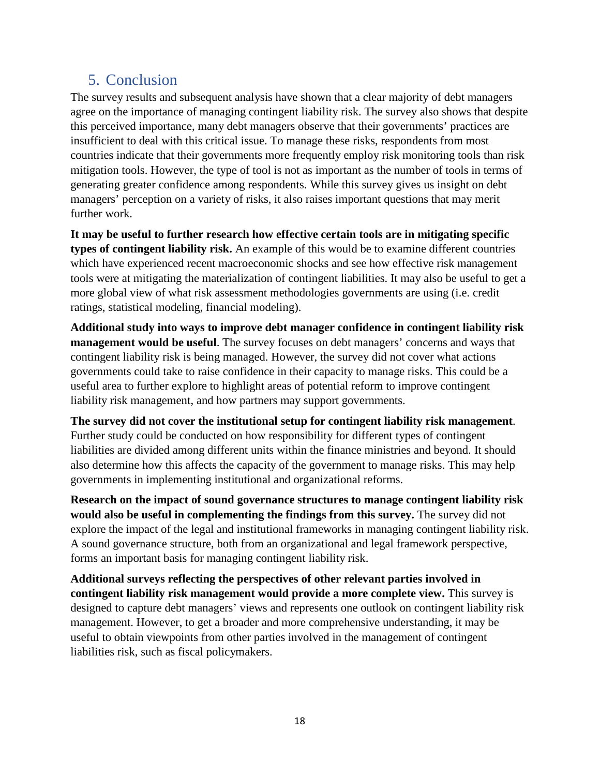# <span id="page-18-0"></span>5. Conclusion

The survey results and subsequent analysis have shown that a clear majority of debt managers agree on the importance of managing contingent liability risk. The survey also shows that despite this perceived importance, many debt managers observe that their governments' practices are insufficient to deal with this critical issue. To manage these risks, respondents from most countries indicate that their governments more frequently employ risk monitoring tools than risk mitigation tools. However, the type of tool is not as important as the number of tools in terms of generating greater confidence among respondents. While this survey gives us insight on debt managers' perception on a variety of risks, it also raises important questions that may merit further work.

**It may be useful to further research how effective certain tools are in mitigating specific types of contingent liability risk.** An example of this would be to examine different countries which have experienced recent macroeconomic shocks and see how effective risk management tools were at mitigating the materialization of contingent liabilities. It may also be useful to get a more global view of what risk assessment methodologies governments are using (i.e. credit ratings, statistical modeling, financial modeling).

**Additional study into ways to improve debt manager confidence in contingent liability risk management would be useful**. The survey focuses on debt managers' concerns and ways that contingent liability risk is being managed. However, the survey did not cover what actions governments could take to raise confidence in their capacity to manage risks. This could be a useful area to further explore to highlight areas of potential reform to improve contingent liability risk management, and how partners may support governments.

**The survey did not cover the institutional setup for contingent liability risk management**. Further study could be conducted on how responsibility for different types of contingent liabilities are divided among different units within the finance ministries and beyond. It should also determine how this affects the capacity of the government to manage risks. This may help governments in implementing institutional and organizational reforms.

**Research on the impact of sound governance structures to manage contingent liability risk would also be useful in complementing the findings from this survey.** The survey did not explore the impact of the legal and institutional frameworks in managing contingent liability risk. A sound governance structure, both from an organizational and legal framework perspective, forms an important basis for managing contingent liability risk.

**Additional surveys reflecting the perspectives of other relevant parties involved in contingent liability risk management would provide a more complete view.** This survey is designed to capture debt managers' views and represents one outlook on contingent liability risk management. However, to get a broader and more comprehensive understanding, it may be useful to obtain viewpoints from other parties involved in the management of contingent liabilities risk, such as fiscal policymakers.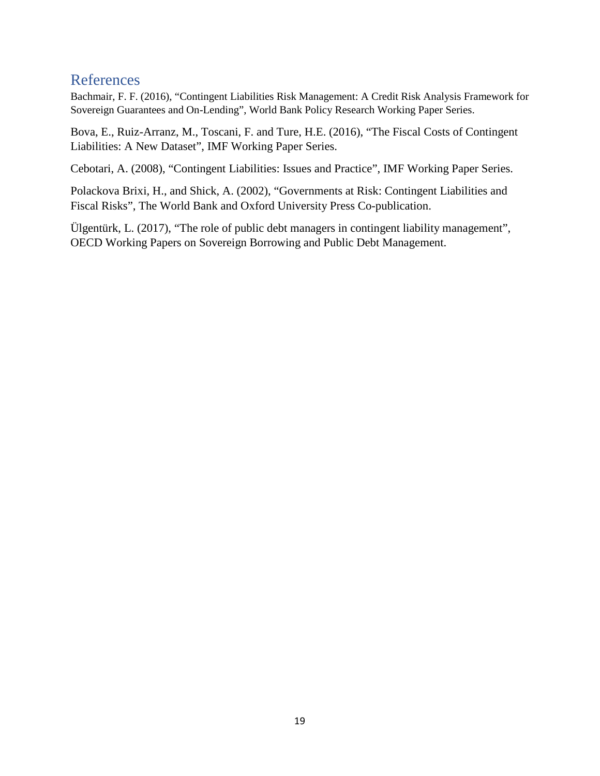### <span id="page-19-0"></span>References

Bachmair, F. F. (2016), "Contingent Liabilities Risk Management: A Credit Risk Analysis Framework for Sovereign Guarantees and On-Lending", World Bank Policy Research Working Paper Series.

Bova, E., Ruiz-Arranz, M., Toscani, F. and Ture, H.E. (2016), "The Fiscal Costs of Contingent Liabilities: A New Dataset", IMF Working Paper Series.

Cebotari, A. (2008), "Contingent Liabilities: Issues and Practice", IMF Working Paper Series.

Polackova Brixi, H., and Shick, A. (2002), "Governments at Risk: Contingent Liabilities and Fiscal Risks", The World Bank and Oxford University Press Co-publication.

Ülgentürk, L. (2017), "The role of public debt managers in contingent liability management", OECD Working Papers on Sovereign Borrowing and Public Debt Management.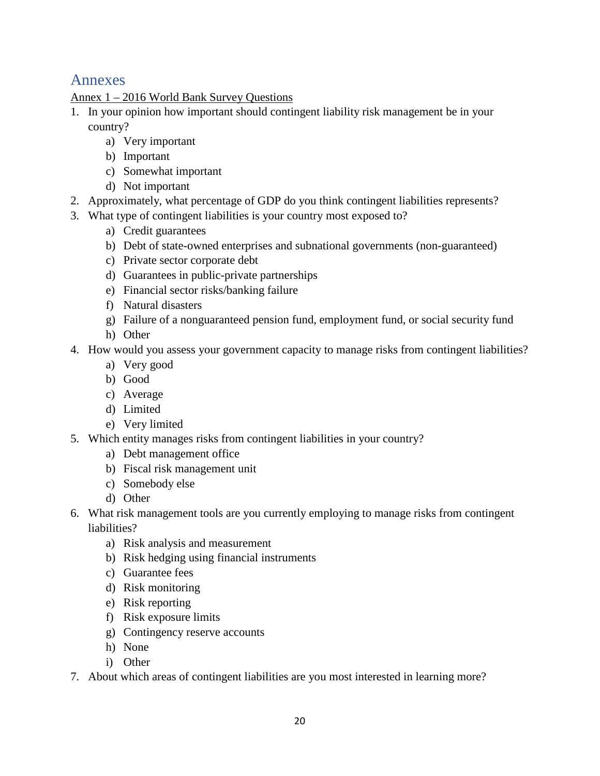# <span id="page-20-0"></span>Annexes

#### Annex 1 – 2016 World Bank Survey Questions

- 1. In your opinion how important should contingent liability risk management be in your country?
	- a) Very important
	- b) Important
	- c) Somewhat important
	- d) Not important
- 2. Approximately, what percentage of GDP do you think contingent liabilities represents?
- 3. What type of contingent liabilities is your country most exposed to?
	- a) Credit guarantees
	- b) Debt of state-owned enterprises and subnational governments (non-guaranteed)
	- c) Private sector corporate debt
	- d) Guarantees in public-private partnerships
	- e) Financial sector risks/banking failure
	- f) Natural disasters
	- g) Failure of a nonguaranteed pension fund, employment fund, or social security fund
	- h) Other
- 4. How would you assess your government capacity to manage risks from contingent liabilities?
	- a) Very good
	- b) Good
	- c) Average
	- d) Limited
	- e) Very limited
- 5. Which entity manages risks from contingent liabilities in your country?
	- a) Debt management office
	- b) Fiscal risk management unit
	- c) Somebody else
	- d) Other
- 6. What risk management tools are you currently employing to manage risks from contingent liabilities?
	- a) Risk analysis and measurement
	- b) Risk hedging using financial instruments
	- c) Guarantee fees
	- d) Risk monitoring
	- e) Risk reporting
	- f) Risk exposure limits
	- g) Contingency reserve accounts
	- h) None
	- i) Other
- 7. About which areas of contingent liabilities are you most interested in learning more?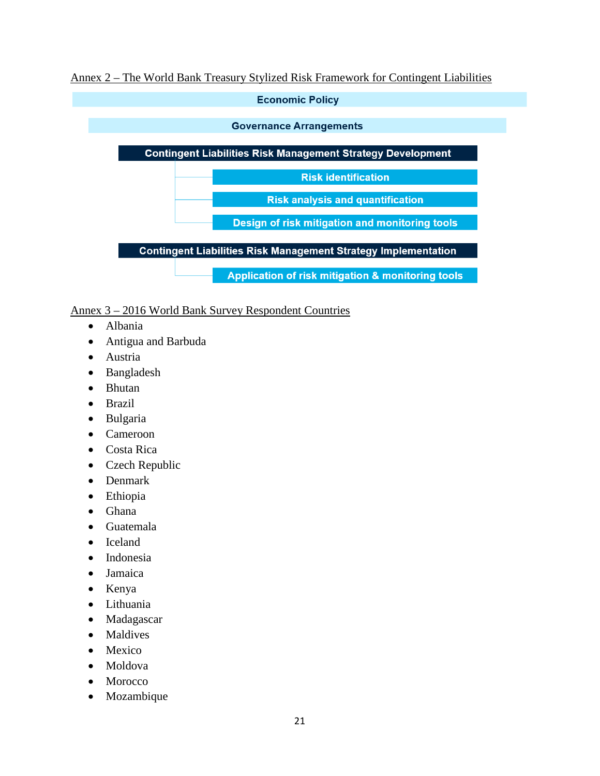#### Annex 2 – The World Bank Treasury Stylized Risk Framework for Contingent Liabilities



#### Annex 3 – 2016 World Bank Survey Respondent Countries

- Albania
- Antigua and Barbuda
- Austria
- Bangladesh
- Bhutan
- Brazil
- Bulgaria
- Cameroon
- Costa Rica
- Czech Republic
- Denmark
- Ethiopia
- Ghana
- Guatemala
- Iceland
- Indonesia
- Jamaica
- Kenya
- Lithuania
- Madagascar
- Maldives
- Mexico
- Moldova
- Morocco
- Mozambique